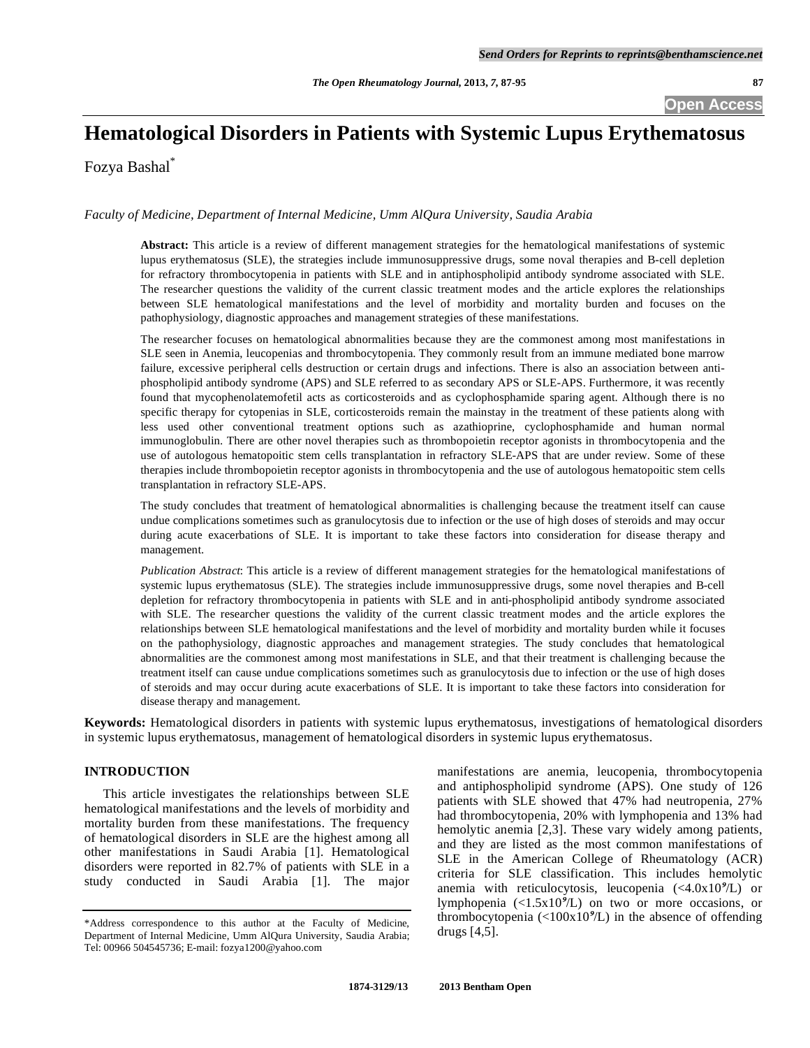## **Open Access**

# **Hematological Disorders in Patients with Systemic Lupus Erythematosus**

Fozya Bashal\*

## *Faculty of Medicine, Department of Internal Medicine, Umm AlQura University, Saudia Arabia*

**Abstract:** This article is a review of different management strategies for the hematological manifestations of systemic lupus erythematosus (SLE), the strategies include immunosuppressive drugs, some noval therapies and B-cell depletion for refractory thrombocytopenia in patients with SLE and in antiphospholipid antibody syndrome associated with SLE. The researcher questions the validity of the current classic treatment modes and the article explores the relationships between SLE hematological manifestations and the level of morbidity and mortality burden and focuses on the pathophysiology, diagnostic approaches and management strategies of these manifestations.

The researcher focuses on hematological abnormalities because they are the commonest among most manifestations in SLE seen in Anemia, leucopenias and thrombocytopenia. They commonly result from an immune mediated bone marrow failure, excessive peripheral cells destruction or certain drugs and infections. There is also an association between antiphospholipid antibody syndrome (APS) and SLE referred to as secondary APS or SLE-APS. Furthermore, it was recently found that mycophenolatemofetil acts as corticosteroids and as cyclophosphamide sparing agent. Although there is no specific therapy for cytopenias in SLE, corticosteroids remain the mainstay in the treatment of these patients along with less used other conventional treatment options such as azathioprine, cyclophosphamide and human normal immunoglobulin. There are other novel therapies such as thrombopoietin receptor agonists in thrombocytopenia and the use of autologous hematopoitic stem cells transplantation in refractory SLE-APS that are under review. Some of these therapies include thrombopoietin receptor agonists in thrombocytopenia and the use of autologous hematopoitic stem cells transplantation in refractory SLE-APS.

The study concludes that treatment of hematological abnormalities is challenging because the treatment itself can cause undue complications sometimes such as granulocytosis due to infection or the use of high doses of steroids and may occur during acute exacerbations of SLE. It is important to take these factors into consideration for disease therapy and management.

*Publication Abstract*: This article is a review of different management strategies for the hematological manifestations of systemic lupus erythematosus (SLE). The strategies include immunosuppressive drugs, some novel therapies and B-cell depletion for refractory thrombocytopenia in patients with SLE and in anti-phospholipid antibody syndrome associated with SLE. The researcher questions the validity of the current classic treatment modes and the article explores the relationships between SLE hematological manifestations and the level of morbidity and mortality burden while it focuses on the pathophysiology, diagnostic approaches and management strategies. The study concludes that hematological abnormalities are the commonest among most manifestations in SLE, and that their treatment is challenging because the treatment itself can cause undue complications sometimes such as granulocytosis due to infection or the use of high doses of steroids and may occur during acute exacerbations of SLE. It is important to take these factors into consideration for disease therapy and management.

**Keywords:** Hematological disorders in patients with systemic lupus erythematosus, investigations of hematological disorders in systemic lupus erythematosus, management of hematological disorders in systemic lupus erythematosus.

## **INTRODUCTION**

 This article investigates the relationships between SLE hematological manifestations and the levels of morbidity and mortality burden from these manifestations. The frequency of hematological disorders in SLE are the highest among all other manifestations in Saudi Arabia [1]. Hematological disorders were reported in 82.7% of patients with SLE in a study conducted in Saudi Arabia [1]. The major manifestations are anemia, leucopenia, thrombocytopenia and antiphospholipid syndrome (APS). One study of 126 patients with SLE showed that 47% had neutropenia, 27% had thrombocytopenia, 20% with lymphopenia and 13% had hemolytic anemia [2,3]. These vary widely among patients, and they are listed as the most common manifestations of SLE in the American College of Rheumatology (ACR) criteria for SLE classification. This includes hemolytic anemia with reticulocytosis, leucopenia (<4.0x10**9**/L) or lymphopenia (<1.5x10**9**/L) on two or more occasions, or thrombocytopenia (<100x10**9**/L) in the absence of offending drugs [4,5].

<sup>\*</sup>Address correspondence to this author at the Faculty of Medicine, Department of Internal Medicine, Umm AlQura University, Saudia Arabia; Tel: 00966 504545736; E-mail: fozya1200@yahoo.com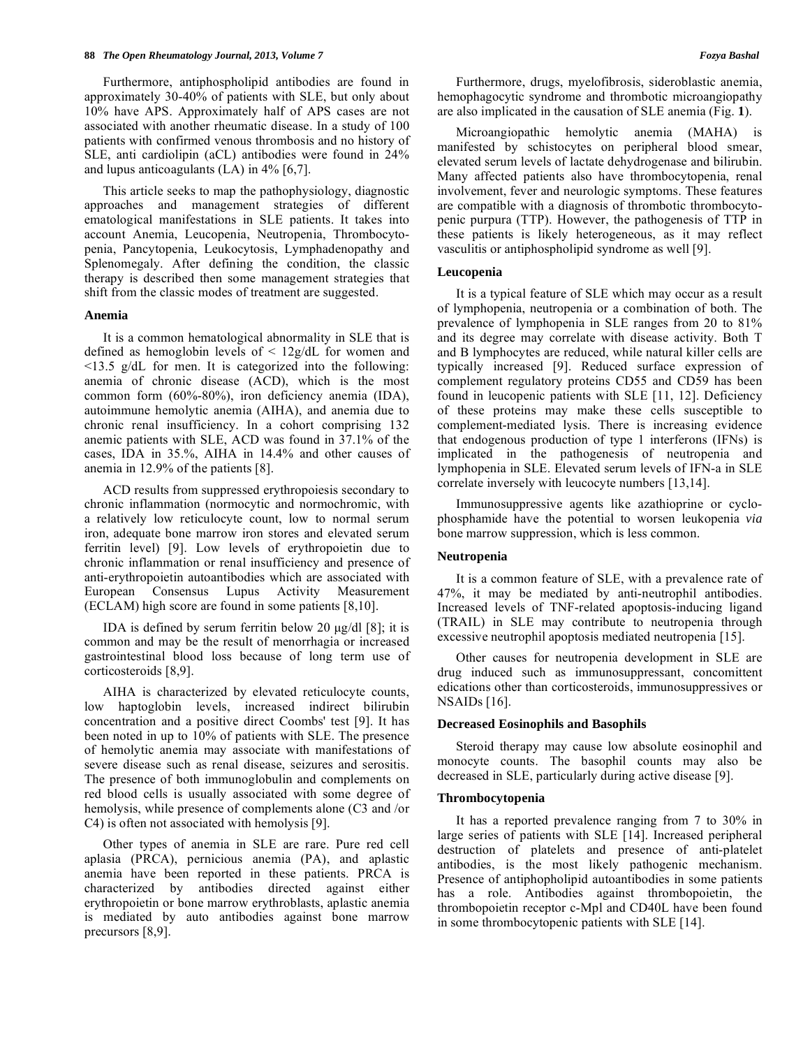Furthermore, antiphospholipid antibodies are found in approximately 30-40% of patients with SLE, but only about 10% have APS. Approximately half of APS cases are not associated with another rheumatic disease. In a study of 100 patients with confirmed venous thrombosis and no history of SLE, anti cardiolipin (aCL) antibodies were found in 24% and lupus anticoagulants (LA) in 4% [6,7].

 This article seeks to map the pathophysiology, diagnostic approaches and management strategies of different ematological manifestations in SLE patients. It takes into account Anemia, Leucopenia, Neutropenia, Thrombocytopenia, Pancytopenia, Leukocytosis, Lymphadenopathy and Splenomegaly. After defining the condition, the classic therapy is described then some management strategies that shift from the classic modes of treatment are suggested.

## **Anemia**

 It is a common hematological abnormality in SLE that is defined as hemoglobin levels of < 12g/dL for women and  $\leq$ 13.5 g/dL for men. It is categorized into the following: anemia of chronic disease (ACD), which is the most common form (60%-80%), iron deficiency anemia (IDA), autoimmune hemolytic anemia (AIHA), and anemia due to chronic renal insufficiency. In a cohort comprising 132 anemic patients with SLE, ACD was found in 37.1% of the cases, IDA in 35.%, AIHA in 14.4% and other causes of anemia in 12.9% of the patients [8].

 ACD results from suppressed erythropoiesis secondary to chronic inflammation (normocytic and normochromic, with a relatively low reticulocyte count, low to normal serum iron, adequate bone marrow iron stores and elevated serum ferritin level) [9]. Low levels of erythropoietin due to chronic inflammation or renal insufficiency and presence of anti-erythropoietin autoantibodies which are associated with European Consensus Lupus Activity Measurement (ECLAM) high score are found in some patients [8,10].

 IDA is defined by serum ferritin below 20 μg/dl [8]; it is common and may be the result of menorrhagia or increased gastrointestinal blood loss because of long term use of corticosteroids [8,9].

 AIHA is characterized by elevated reticulocyte counts, low haptoglobin levels, increased indirect bilirubin concentration and a positive direct Coombs' test [9]. It has been noted in up to 10% of patients with SLE. The presence of hemolytic anemia may associate with manifestations of severe disease such as renal disease, seizures and serositis. The presence of both immunoglobulin and complements on red blood cells is usually associated with some degree of hemolysis, while presence of complements alone (C3 and /or C4) is often not associated with hemolysis [9].

 Other types of anemia in SLE are rare. Pure red cell aplasia (PRCA), pernicious anemia (PA), and aplastic anemia have been reported in these patients. PRCA is characterized by antibodies directed against either erythropoietin or bone marrow erythroblasts, aplastic anemia is mediated by auto antibodies against bone marrow precursors [8,9].

 Furthermore, drugs, myelofibrosis, sideroblastic anemia, hemophagocytic syndrome and thrombotic microangiopathy are also implicated in the causation of SLE anemia (Fig. **1**).

 Microangiopathic hemolytic anemia (MAHA) is manifested by schistocytes on peripheral blood smear, elevated serum levels of lactate dehydrogenase and bilirubin. Many affected patients also have thrombocytopenia, renal involvement, fever and neurologic symptoms. These features are compatible with a diagnosis of thrombotic thrombocytopenic purpura (TTP). However, the pathogenesis of TTP in these patients is likely heterogeneous, as it may reflect vasculitis or antiphospholipid syndrome as well [9].

#### **Leucopenia**

 It is a typical feature of SLE which may occur as a result of lymphopenia, neutropenia or a combination of both. The prevalence of lymphopenia in SLE ranges from 20 to 81% and its degree may correlate with disease activity. Both T and B lymphocytes are reduced, while natural killer cells are typically increased [9]. Reduced surface expression of complement regulatory proteins CD55 and CD59 has been found in leucopenic patients with SLE [11, 12]. Deficiency of these proteins may make these cells susceptible to complement-mediated lysis. There is increasing evidence that endogenous production of type 1 interferons (IFNs) is implicated in the pathogenesis of neutropenia and lymphopenia in SLE. Elevated serum levels of IFN-a in SLE correlate inversely with leucocyte numbers [13,14].

 Immunosuppressive agents like azathioprine or cyclophosphamide have the potential to worsen leukopenia *via*  bone marrow suppression, which is less common.

## **Neutropenia**

 It is a common feature of SLE, with a prevalence rate of 47%, it may be mediated by anti-neutrophil antibodies. Increased levels of TNF-related apoptosis-inducing ligand (TRAIL) in SLE may contribute to neutropenia through excessive neutrophil apoptosis mediated neutropenia [15].

 Other causes for neutropenia development in SLE are drug induced such as immunosuppressant, concomittent edications other than corticosteroids, immunosuppressives or NSAIDs [16].

## **Decreased Eosinophils and Basophils**

 Steroid therapy may cause low absolute eosinophil and monocyte counts. The basophil counts may also be decreased in SLE, particularly during active disease [9].

## **Thrombocytopenia**

 It has a reported prevalence ranging from 7 to 30% in large series of patients with SLE [14]. Increased peripheral destruction of platelets and presence of anti-platelet antibodies, is the most likely pathogenic mechanism. Presence of antiphopholipid autoantibodies in some patients has a role. Antibodies against thrombopoietin, the thrombopoietin receptor c-Mpl and CD40L have been found in some thrombocytopenic patients with SLE [14].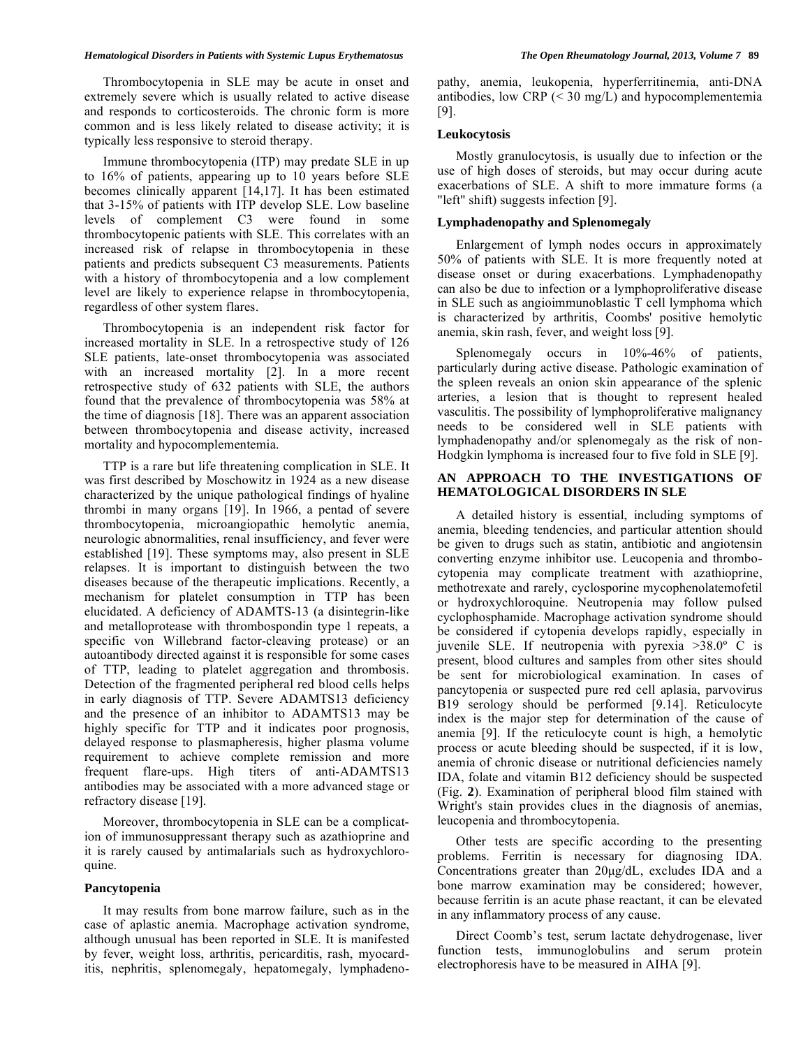## *Hematological Disorders in Patients with Systemic Lupus Erythematosus The Open Rheumatology Journal, 2013, Volume 7* **89**

 Thrombocytopenia in SLE may be acute in onset and extremely severe which is usually related to active disease and responds to corticosteroids. The chronic form is more common and is less likely related to disease activity; it is typically less responsive to steroid therapy.

 Immune thrombocytopenia (ITP) may predate SLE in up to 16% of patients, appearing up to 10 years before SLE becomes clinically apparent [14,17]. It has been estimated that 3-15% of patients with ITP develop SLE. Low baseline levels of complement C3 were found in some thrombocytopenic patients with SLE. This correlates with an increased risk of relapse in thrombocytopenia in these patients and predicts subsequent C3 measurements. Patients with a history of thrombocytopenia and a low complement level are likely to experience relapse in thrombocytopenia, regardless of other system flares.

 Thrombocytopenia is an independent risk factor for increased mortality in SLE. In a retrospective study of 126 SLE patients, late-onset thrombocytopenia was associated with an increased mortality [2]. In a more recent retrospective study of 632 patients with SLE, the authors found that the prevalence of thrombocytopenia was 58% at the time of diagnosis [18]. There was an apparent association between thrombocytopenia and disease activity, increased mortality and hypocomplementemia.

 TTP is a rare but life threatening complication in SLE. It was first described by Moschowitz in 1924 as a new disease characterized by the unique pathological findings of hyaline thrombi in many organs [19]. In 1966, a pentad of severe thrombocytopenia, microangiopathic hemolytic anemia, neurologic abnormalities, renal insufficiency, and fever were established [19]. These symptoms may, also present in SLE relapses. It is important to distinguish between the two diseases because of the therapeutic implications. Recently, a mechanism for platelet consumption in TTP has been elucidated. A deficiency of ADAMTS-13 (a disintegrin-like and metalloprotease with thrombospondin type 1 repeats, a specific von Willebrand factor-cleaving protease) or an autoantibody directed against it is responsible for some cases of TTP, leading to platelet aggregation and thrombosis. Detection of the fragmented peripheral red blood cells helps in early diagnosis of TTP. Severe ADAMTS13 deficiency and the presence of an inhibitor to ADAMTS13 may be highly specific for TTP and it indicates poor prognosis, delayed response to plasmapheresis, higher plasma volume requirement to achieve complete remission and more frequent flare-ups. High titers of anti-ADAMTS13 antibodies may be associated with a more advanced stage or refractory disease [19].

 Moreover, thrombocytopenia in SLE can be a complication of immunosuppressant therapy such as azathioprine and it is rarely caused by antimalarials such as hydroxychloroquine.

## **Pancytopenia**

 It may results from bone marrow failure, such as in the case of aplastic anemia. Macrophage activation syndrome, although unusual has been reported in SLE. It is manifested by fever, weight loss, arthritis, pericarditis, rash, myocarditis, nephritis, splenomegaly, hepatomegaly, lymphadenopathy, anemia, leukopenia, hyperferritinemia, anti-DNA antibodies, low CRP  $( $30 \text{ mg/L}$ )$  and hypocomplementemia [9].

## **Leukocytosis**

 Mostly granulocytosis, is usually due to infection or the use of high doses of steroids, but may occur during acute exacerbations of SLE. A shift to more immature forms (a "left" shift) suggests infection [9].

## **Lymphadenopathy and Splenomegaly**

 Enlargement of lymph nodes occurs in approximately 50% of patients with SLE. It is more frequently noted at disease onset or during exacerbations. Lymphadenopathy can also be due to infection or a lymphoproliferative disease in SLE such as angioimmunoblastic T cell lymphoma which is characterized by arthritis, Coombs' positive hemolytic anemia, skin rash, fever, and weight loss [9].

Splenomegaly occurs in  $10\% - 46\%$  of patients, particularly during active disease. Pathologic examination of the spleen reveals an onion skin appearance of the splenic arteries, a lesion that is thought to represent healed vasculitis. The possibility of lymphoproliferative malignancy needs to be considered well in SLE patients with lymphadenopathy and/or splenomegaly as the risk of non-Hodgkin lymphoma is increased four to five fold in SLE [9].

## **AN APPROACH TO THE INVESTIGATIONS OF HEMATOLOGICAL DISORDERS IN SLE**

 A detailed history is essential, including symptoms of anemia, bleeding tendencies, and particular attention should be given to drugs such as statin, antibiotic and angiotensin converting enzyme inhibitor use. Leucopenia and thrombocytopenia may complicate treatment with azathioprine, methotrexate and rarely, cyclosporine mycophenolatemofetil or hydroxychloroquine. Neutropenia may follow pulsed cyclophosphamide. Macrophage activation syndrome should be considered if cytopenia develops rapidly, especially in juvenile SLE. If neutropenia with pyrexia >38.0º C is present, blood cultures and samples from other sites should be sent for microbiological examination. In cases of pancytopenia or suspected pure red cell aplasia, parvovirus B19 serology should be performed [9.14]. Reticulocyte index is the major step for determination of the cause of anemia [9]. If the reticulocyte count is high, a hemolytic process or acute bleeding should be suspected, if it is low, anemia of chronic disease or nutritional deficiencies namely IDA, folate and vitamin B12 deficiency should be suspected (Fig. **2**). Examination of peripheral blood film stained with Wright's stain provides clues in the diagnosis of anemias, leucopenia and thrombocytopenia.

 Other tests are specific according to the presenting problems. Ferritin is necessary for diagnosing IDA. Concentrations greater than 20μg/dL, excludes IDA and a bone marrow examination may be considered; however, because ferritin is an acute phase reactant, it can be elevated in any inflammatory process of any cause.

 Direct Coomb's test, serum lactate dehydrogenase, liver function tests, immunoglobulins and serum protein electrophoresis have to be measured in AIHA [9].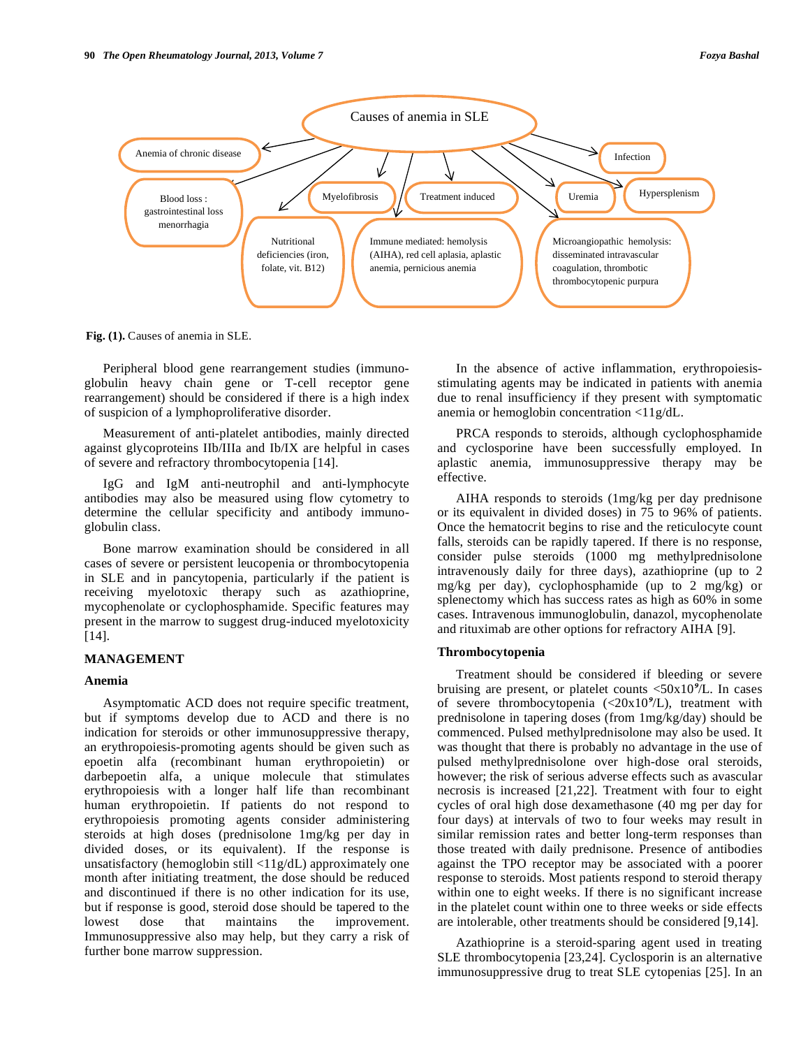

**Fig. (1).** Causes of anemia in SLE.

 Peripheral blood gene rearrangement studies (immunoglobulin heavy chain gene or T-cell receptor gene rearrangement) should be considered if there is a high index of suspicion of a lymphoproliferative disorder.

 Measurement of anti-platelet antibodies, mainly directed against glycoproteins IIb/IIIa and Ib/IX are helpful in cases of severe and refractory thrombocytopenia [14].

 IgG and IgM anti-neutrophil and anti-lymphocyte antibodies may also be measured using flow cytometry to determine the cellular specificity and antibody immunoglobulin class.

 Bone marrow examination should be considered in all cases of severe or persistent leucopenia or thrombocytopenia in SLE and in pancytopenia, particularly if the patient is receiving myelotoxic therapy such as azathioprine, mycophenolate or cyclophosphamide. Specific features may present in the marrow to suggest drug-induced myelotoxicity [14].

## **MANAGEMENT**

## **Anemia**

 Asymptomatic ACD does not require specific treatment, but if symptoms develop due to ACD and there is no indication for steroids or other immunosuppressive therapy, an erythropoiesis-promoting agents should be given such as epoetin alfa (recombinant human erythropoietin) or darbepoetin alfa, a unique molecule that stimulates erythropoiesis with a longer half life than recombinant human erythropoietin. If patients do not respond to erythropoiesis promoting agents consider administering steroids at high doses (prednisolone 1mg/kg per day in divided doses, or its equivalent). If the response is unsatisfactory (hemoglobin still <11g/dL) approximately one month after initiating treatment, the dose should be reduced and discontinued if there is no other indication for its use, but if response is good, steroid dose should be tapered to the lowest dose that maintains the improvement. Immunosuppressive also may help, but they carry a risk of further bone marrow suppression.

 In the absence of active inflammation, erythropoiesisstimulating agents may be indicated in patients with anemia due to renal insufficiency if they present with symptomatic anemia or hemoglobin concentration <11g/dL.

 PRCA responds to steroids, although cyclophosphamide and cyclosporine have been successfully employed. In aplastic anemia, immunosuppressive therapy may be effective.

 AIHA responds to steroids (1mg/kg per day prednisone or its equivalent in divided doses) in 75 to 96% of patients. Once the hematocrit begins to rise and the reticulocyte count falls, steroids can be rapidly tapered. If there is no response, consider pulse steroids (1000 mg methylprednisolone intravenously daily for three days), azathioprine (up to 2 mg/kg per day), cyclophosphamide (up to 2 mg/kg) or splenectomy which has success rates as high as 60% in some cases. Intravenous immunoglobulin, danazol, mycophenolate and rituximab are other options for refractory AIHA [9].

## **Thrombocytopenia**

 Treatment should be considered if bleeding or severe bruising are present, or platelet counts <50x10**9**/L. In cases of severe thrombocytopenia (<20x10**9**/L), treatment with prednisolone in tapering doses (from 1mg/kg/day) should be commenced. Pulsed methylprednisolone may also be used. It was thought that there is probably no advantage in the use of pulsed methylprednisolone over high-dose oral steroids, however; the risk of serious adverse effects such as avascular necrosis is increased [21,22]. Treatment with four to eight cycles of oral high dose dexamethasone (40 mg per day for four days) at intervals of two to four weeks may result in similar remission rates and better long-term responses than those treated with daily prednisone. Presence of antibodies against the TPO receptor may be associated with a poorer response to steroids. Most patients respond to steroid therapy within one to eight weeks. If there is no significant increase in the platelet count within one to three weeks or side effects are intolerable, other treatments should be considered [9,14].

 Azathioprine is a steroid-sparing agent used in treating SLE thrombocytopenia [23,24]. Cyclosporin is an alternative immunosuppressive drug to treat SLE cytopenias [25]. In an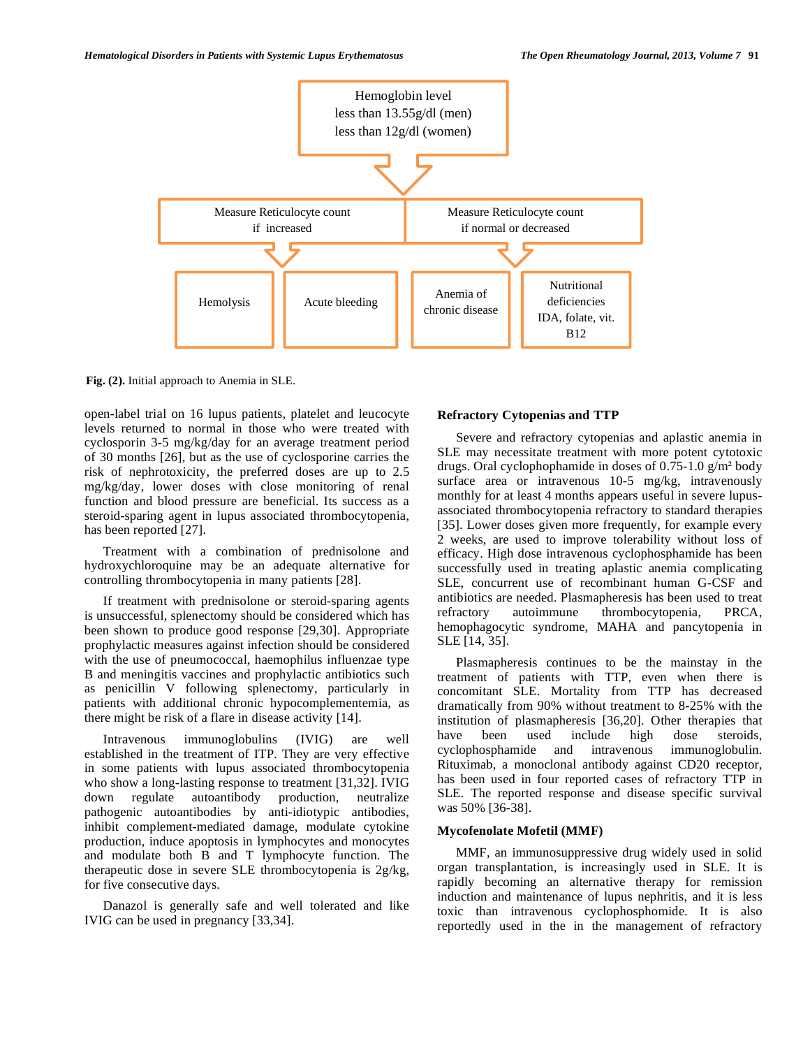

**Fig. (2).** Initial approach to Anemia in SLE.

open-label trial on 16 lupus patients, platelet and leucocyte levels returned to normal in those who were treated with cyclosporin 3-5 mg/kg/day for an average treatment period of 30 months [26], but as the use of cyclosporine carries the risk of nephrotoxicity, the preferred doses are up to 2.5 mg/kg/day, lower doses with close monitoring of renal function and blood pressure are beneficial. Its success as a steroid-sparing agent in lupus associated thrombocytopenia, has been reported [27].

 Treatment with a combination of prednisolone and hydroxychloroquine may be an adequate alternative for controlling thrombocytopenia in many patients [28].

 If treatment with prednisolone or steroid-sparing agents is unsuccessful, splenectomy should be considered which has been shown to produce good response [29,30]. Appropriate prophylactic measures against infection should be considered with the use of pneumococcal, haemophilus influenzae type B and meningitis vaccines and prophylactic antibiotics such as penicillin V following splenectomy, particularly in patients with additional chronic hypocomplementemia, as there might be risk of a flare in disease activity [14].

 Intravenous immunoglobulins (IVIG) are well established in the treatment of ITP. They are very effective in some patients with lupus associated thrombocytopenia who show a long-lasting response to treatment [31,32]. IVIG down regulate autoantibody production, neutralize pathogenic autoantibodies by anti-idiotypic antibodies, inhibit complement-mediated damage, modulate cytokine production, induce apoptosis in lymphocytes and monocytes and modulate both B and T lymphocyte function. The therapeutic dose in severe SLE thrombocytopenia is 2g/kg, for five consecutive days.

 Danazol is generally safe and well tolerated and like IVIG can be used in pregnancy [33,34].

## **Refractory Cytopenias and TTP**

 Severe and refractory cytopenias and aplastic anemia in SLE may necessitate treatment with more potent cytotoxic drugs. Oral cyclophophamide in doses of  $0.75$ -1.0 g/m<sup>2</sup> body surface area or intravenous 10-5 mg/kg, intravenously monthly for at least 4 months appears useful in severe lupusassociated thrombocytopenia refractory to standard therapies [35]. Lower doses given more frequently, for example every 2 weeks, are used to improve tolerability without loss of efficacy. High dose intravenous cyclophosphamide has been successfully used in treating aplastic anemia complicating SLE, concurrent use of recombinant human G-CSF and antibiotics are needed. Plasmapheresis has been used to treat refractory autoimmune thrombocytopenia, PRCA, hemophagocytic syndrome, MAHA and pancytopenia in SLE [14, 35].

 Plasmapheresis continues to be the mainstay in the treatment of patients with TTP, even when there is concomitant SLE. Mortality from TTP has decreased dramatically from 90% without treatment to 8-25% with the institution of plasmapheresis [36,20]. Other therapies that have been used include high dose steroids, cyclophosphamide and intravenous immunoglobulin. Rituximab, a monoclonal antibody against CD20 receptor, has been used in four reported cases of refractory TTP in SLE. The reported response and disease specific survival was 50% [36-38].

## **Mycofenolate Mofetil (MMF)**

 MMF, an immunosuppressive drug widely used in solid organ transplantation, is increasingly used in SLE. It is rapidly becoming an alternative therapy for remission induction and maintenance of lupus nephritis, and it is less toxic than intravenous cyclophosphomide. It is also reportedly used in the in the management of refractory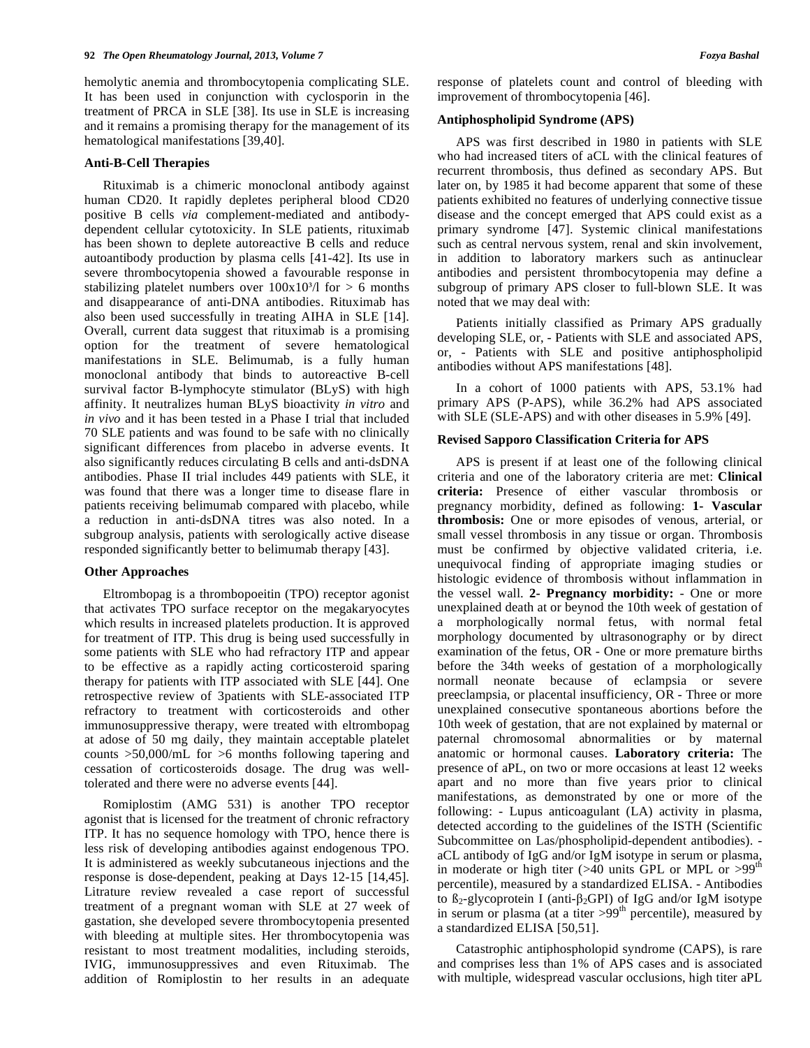hemolytic anemia and thrombocytopenia complicating SLE. It has been used in conjunction with cyclosporin in the treatment of PRCA in SLE [38]. Its use in SLE is increasing and it remains a promising therapy for the management of its hematological manifestations [39,40].

## **Anti-B-Cell Therapies**

 Rituximab is a chimeric monoclonal antibody against human CD20. It rapidly depletes peripheral blood CD20 positive B cells *via* complement-mediated and antibodydependent cellular cytotoxicity. In SLE patients, rituximab has been shown to deplete autoreactive B cells and reduce autoantibody production by plasma cells [41-42]. Its use in severe thrombocytopenia showed a favourable response in stabilizing platelet numbers over  $100x10<sup>3</sup>/l$  for  $> 6$  months and disappearance of anti-DNA antibodies. Rituximab has also been used successfully in treating AIHA in SLE [14]. Overall, current data suggest that rituximab is a promising option for the treatment of severe hematological manifestations in SLE. Belimumab, is a fully human monoclonal antibody that binds to autoreactive B-cell survival factor B-lymphocyte stimulator (BLyS) with high affinity. It neutralizes human BLyS bioactivity *in vitro* and *in vivo* and it has been tested in a Phase I trial that included 70 SLE patients and was found to be safe with no clinically significant differences from placebo in adverse events. It also significantly reduces circulating B cells and anti-dsDNA antibodies. Phase II trial includes 449 patients with SLE, it was found that there was a longer time to disease flare in patients receiving belimumab compared with placebo, while a reduction in anti-dsDNA titres was also noted. In a subgroup analysis, patients with serologically active disease responded significantly better to belimumab therapy [43].

## **Other Approaches**

 Eltrombopag is a thrombopoeitin (TPO) receptor agonist that activates TPO surface receptor on the megakaryocytes which results in increased platelets production. It is approved for treatment of ITP. This drug is being used successfully in some patients with SLE who had refractory ITP and appear to be effective as a rapidly acting corticosteroid sparing therapy for patients with ITP associated with SLE [44]. One retrospective review of 3patients with SLE-associated ITP refractory to treatment with corticosteroids and other immunosuppressive therapy, were treated with eltrombopag at adose of 50 mg daily, they maintain acceptable platelet counts >50,000/mL for >6 months following tapering and cessation of corticosteroids dosage. The drug was welltolerated and there were no adverse events [44].

 Romiplostim (AMG 531) is another TPO receptor agonist that is licensed for the treatment of chronic refractory ITP. It has no sequence homology with TPO, hence there is less risk of developing antibodies against endogenous TPO. It is administered as weekly subcutaneous injections and the response is dose-dependent, peaking at Days 12-15 [14,45]. Litrature review revealed a case report of successful treatment of a pregnant woman with SLE at 27 week of gastation, she developed severe thrombocytopenia presented with bleeding at multiple sites. Her thrombocytopenia was resistant to most treatment modalities, including steroids, IVIG, immunosuppressives and even Rituximab. The addition of Romiplostin to her results in an adequate

response of platelets count and control of bleeding with improvement of thrombocytopenia [46].

## **Antiphospholipid Syndrome (APS)**

 APS was first described in 1980 in patients with SLE who had increased titers of aCL with the clinical features of recurrent thrombosis, thus defined as secondary APS. But later on, by 1985 it had become apparent that some of these patients exhibited no features of underlying connective tissue disease and the concept emerged that APS could exist as a primary syndrome [47]. Systemic clinical manifestations such as central nervous system, renal and skin involvement, in addition to laboratory markers such as antinuclear antibodies and persistent thrombocytopenia may define a subgroup of primary APS closer to full-blown SLE. It was noted that we may deal with:

 Patients initially classified as Primary APS gradually developing SLE, or, - Patients with SLE and associated APS, or, - Patients with SLE and positive antiphospholipid antibodies without APS manifestations [48].

 In a cohort of 1000 patients with APS, 53.1% had primary APS (P-APS), while 36.2% had APS associated with SLE (SLE-APS) and with other diseases in 5.9% [49].

## **Revised Sapporo Classification Criteria for APS**

 APS is present if at least one of the following clinical criteria and one of the laboratory criteria are met: **Clinical criteria:** Presence of either vascular thrombosis or pregnancy morbidity, defined as following: **1- Vascular thrombosis:** One or more episodes of venous, arterial, or small vessel thrombosis in any tissue or organ. Thrombosis must be confirmed by objective validated criteria, i.e. unequivocal finding of appropriate imaging studies or histologic evidence of thrombosis without inflammation in the vessel wall. **2- Pregnancy morbidity:** - One or more unexplained death at or beynod the 10th week of gestation of a morphologically normal fetus, with normal fetal morphology documented by ultrasonography or by direct examination of the fetus, OR - One or more premature births before the 34th weeks of gestation of a morphologically normall neonate because of eclampsia or severe preeclampsia, or placental insufficiency, OR - Three or more unexplained consecutive spontaneous abortions before the 10th week of gestation, that are not explained by maternal or paternal chromosomal abnormalities or by maternal anatomic or hormonal causes. **Laboratory criteria:** The presence of aPL, on two or more occasions at least 12 weeks apart and no more than five years prior to clinical manifestations, as demonstrated by one or more of the following: - Lupus anticoagulant (LA) activity in plasma, detected according to the guidelines of the ISTH (Scientific Subcommittee on Las/phospholipid-dependent antibodies). aCL antibody of IgG and/or IgM isotype in serum or plasma, in moderate or high titer ( $>40$  units GPL or MPL or  $>99$ <sup>th</sup> percentile), measured by a standardized ELISA. - Antibodies to  $B_2$ -glycoprotein I (anti- $\beta_2$ GPI) of IgG and/or IgM isotype in serum or plasma (at a titer  $>99<sup>th</sup>$  percentile), measured by a standardized ELISA [50,51].

 Catastrophic antiphospholopid syndrome (CAPS), is rare and comprises less than 1% of APS cases and is associated with multiple, widespread vascular occlusions, high titer aPL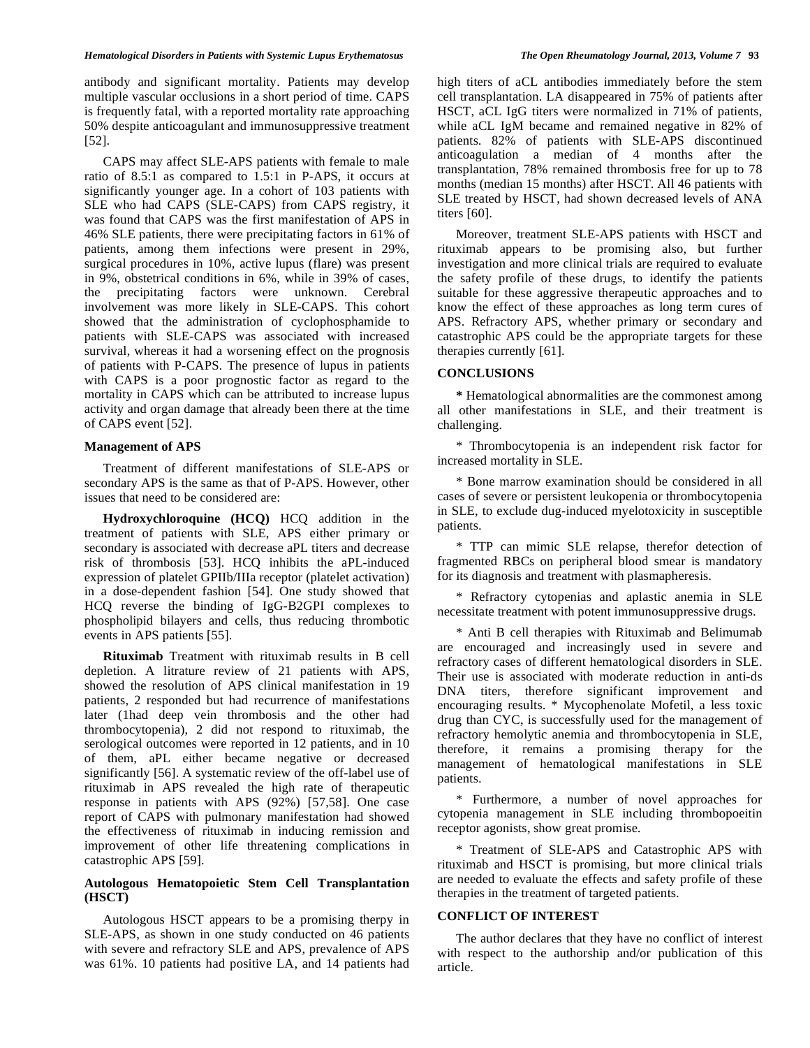## *Hematological Disorders in Patients with Systemic Lupus Erythematosus The Open Rheumatology Journal, 2013, Volume 7* **93**

antibody and significant mortality. Patients may develop multiple vascular occlusions in a short period of time. CAPS is frequently fatal, with a reported mortality rate approaching 50% despite anticoagulant and immunosuppressive treatment [52].

 CAPS may affect SLE-APS patients with female to male ratio of 8.5:1 as compared to 1.5:1 in P-APS, it occurs at significantly younger age. In a cohort of 103 patients with SLE who had CAPS (SLE-CAPS) from CAPS registry, it was found that CAPS was the first manifestation of APS in 46% SLE patients, there were precipitating factors in 61% of patients, among them infections were present in 29%, surgical procedures in 10%, active lupus (flare) was present in 9%, obstetrical conditions in 6%, while in 39% of cases, the precipitating factors were unknown. Cerebral involvement was more likely in SLE-CAPS. This cohort showed that the administration of cyclophosphamide to patients with SLE-CAPS was associated with increased survival, whereas it had a worsening effect on the prognosis of patients with P-CAPS. The presence of lupus in patients with CAPS is a poor prognostic factor as regard to the mortality in CAPS which can be attributed to increase lupus activity and organ damage that already been there at the time of CAPS event [52].

#### **Management of APS**

 Treatment of different manifestations of SLE-APS or secondary APS is the same as that of P-APS. However, other issues that need to be considered are:

 **Hydroxychloroquine (HCQ)** HCQ addition in the treatment of patients with SLE, APS either primary or secondary is associated with decrease aPL titers and decrease risk of thrombosis [53]. HCQ inhibits the aPL-induced expression of platelet GPIIb/IIIa receptor (platelet activation) in a dose-dependent fashion [54]. One study showed that HCQ reverse the binding of IgG-B2GPI complexes to phospholipid bilayers and cells, thus reducing thrombotic events in APS patients [55].

 **Rituximab** Treatment with rituximab results in B cell depletion. A litrature review of 21 patients with APS, showed the resolution of APS clinical manifestation in 19 patients, 2 responded but had recurrence of manifestations later (1had deep vein thrombosis and the other had thrombocytopenia), 2 did not respond to rituximab, the serological outcomes were reported in 12 patients, and in 10 of them, aPL either became negative or decreased significantly [56]. A systematic review of the off-label use of rituximab in APS revealed the high rate of therapeutic response in patients with APS (92%) [57,58]. One case report of CAPS with pulmonary manifestation had showed the effectiveness of rituximab in inducing remission and improvement of other life threatening complications in catastrophic APS [59].

## **Autologous Hematopoietic Stem Cell Transplantation (HSCT)**

 Autologous HSCT appears to be a promising therpy in SLE-APS, as shown in one study conducted on 46 patients with severe and refractory SLE and APS, prevalence of APS was 61%. 10 patients had positive LA, and 14 patients had high titers of aCL antibodies immediately before the stem cell transplantation. LA disappeared in 75% of patients after HSCT, aCL IgG titers were normalized in 71% of patients, while aCL IgM became and remained negative in 82% of patients. 82% of patients with SLE-APS discontinued anticoagulation a median of 4 months after the transplantation, 78% remained thrombosis free for up to 78 months (median 15 months) after HSCT. All 46 patients with SLE treated by HSCT, had shown decreased levels of ANA titers [60].

 Moreover, treatment SLE-APS patients with HSCT and rituximab appears to be promising also, but further investigation and more clinical trials are required to evaluate the safety profile of these drugs, to identify the patients suitable for these aggressive therapeutic approaches and to know the effect of these approaches as long term cures of APS. Refractory APS, whether primary or secondary and catastrophic APS could be the appropriate targets for these therapies currently [61].

## **CONCLUSIONS**

 **\*** Hematological abnormalities are the commonest among all other manifestations in SLE, and their treatment is challenging.

 \* Thrombocytopenia is an independent risk factor for increased mortality in SLE.

 \* Bone marrow examination should be considered in all cases of severe or persistent leukopenia or thrombocytopenia in SLE, to exclude dug-induced myelotoxicity in susceptible patients.

 \* TTP can mimic SLE relapse, therefor detection of fragmented RBCs on peripheral blood smear is mandatory for its diagnosis and treatment with plasmapheresis.

 \* Refractory cytopenias and aplastic anemia in SLE necessitate treatment with potent immunosuppressive drugs.

 \* Anti B cell therapies with Rituximab and Belimumab are encouraged and increasingly used in severe and refractory cases of different hematological disorders in SLE. Their use is associated with moderate reduction in anti-ds DNA titers, therefore significant improvement and encouraging results. \* Mycophenolate Mofetil, a less toxic drug than CYC, is successfully used for the management of refractory hemolytic anemia and thrombocytopenia in SLE, therefore, it remains a promising therapy for the management of hematological manifestations in SLE patients.

 \* Furthermore, a number of novel approaches for cytopenia management in SLE including thrombopoeitin receptor agonists, show great promise.

 \* Treatment of SLE-APS and Catastrophic APS with rituximab and HSCT is promising, but more clinical trials are needed to evaluate the effects and safety profile of these therapies in the treatment of targeted patients.

## **CONFLICT OF INTEREST**

 The author declares that they have no conflict of interest with respect to the authorship and/or publication of this article.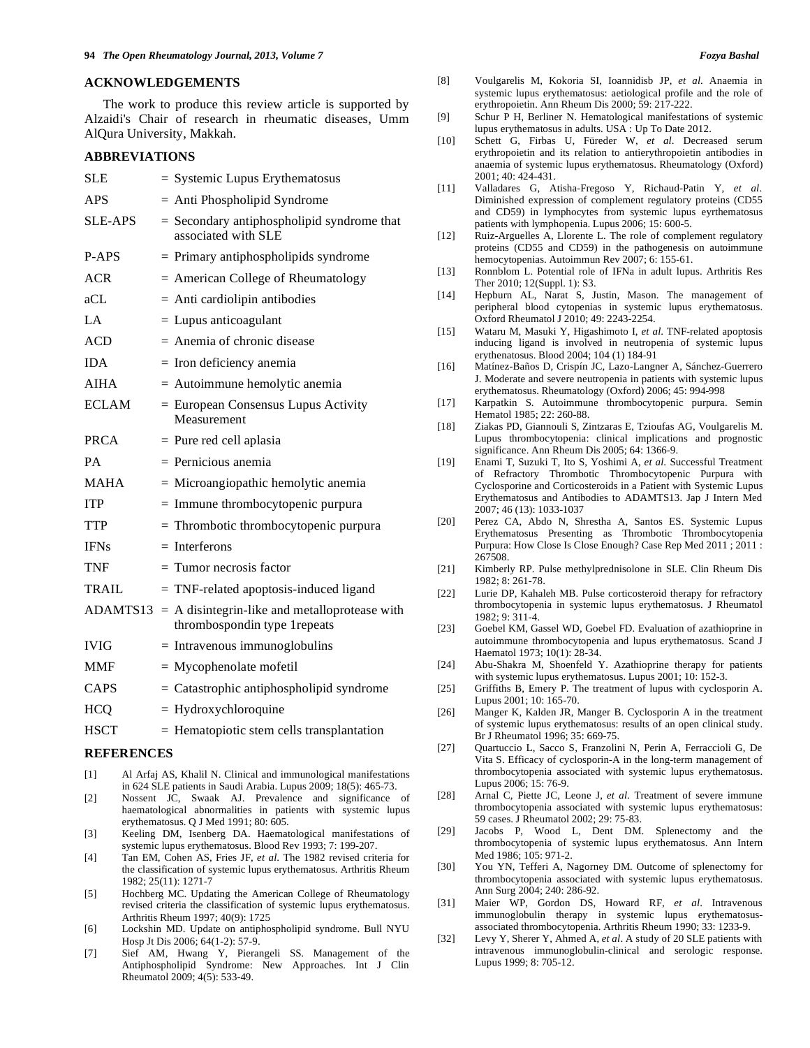### **ACKNOWLEDGEMENTS**

 The work to produce this review article is supported by Alzaidi's Chair of research in rheumatic diseases, Umm AlQura University, Makkah.

## **ABBREVIATIONS**

| SLE.           | $=$ Systemic Lupus Erythematosus                                                |
|----------------|---------------------------------------------------------------------------------|
| <b>APS</b>     | $=$ Anti Phospholipid Syndrome                                                  |
| <b>SLE-APS</b> | $=$ Secondary antiphospholipid syndrome that<br>associated with SLE             |
| P-APS          | $=$ Primary antiphospholipids syndrome                                          |
| <b>ACR</b>     | $=$ American College of Rheumatology                                            |
| aCL            | $=$ Anti cardiolipin antibodies                                                 |
| LA             | $=$ Lupus anticoagulant                                                         |
| ACD            | $=$ Anemia of chronic disease                                                   |
| <b>IDA</b>     | $=$ Iron deficiency anemia                                                      |
| <b>AIHA</b>    | = Autoimmune hemolytic anemia                                                   |
| <b>ECLAM</b>   | $=$ European Consensus Lupus Activity<br>Measurement                            |
| <b>PRCA</b>    | = Pure red cell aplasia                                                         |
| PA             | $=$ Pernicious anemia                                                           |
| <b>MAHA</b>    | $=$ Microangiopathic hemolytic anemia                                           |
| <b>ITP</b>     | $=$ Immune thrombocytopenic purpura                                             |
| TTP            | $=$ Thrombotic thrombocytopenic purpura                                         |
| <b>IFNs</b>    | $=$ Interferons                                                                 |
| <b>TNF</b>     | $=$ Tumor necrosis factor                                                       |
| TRAIL          | $=$ TNF-related apoptosis-induced ligand                                        |
| ADAMTS13       | $=$ A disintegrin-like and metalloprotease with<br>thrombospondin type 1repeats |
| <b>IVIG</b>    | $=$ Intravenous immunoglobulins                                                 |
| <b>MMF</b>     | $=$ Mycophenolate mofetil                                                       |
| CAPS           | $=$ Catastrophic antiphospholipid syndrome                                      |
| <b>HCQ</b>     | $=$ Hydroxychloroquine                                                          |
| <b>HSCT</b>    | $=$ Hematopiotic stem cells transplantation                                     |

#### **REFERENCES**

- [1] Al Arfaj AS, Khalil N. Clinical and immunological manifestations in 624 SLE patients in Saudi Arabia. Lupus 2009; 18(5): 465-73.
- [2] Nossent JC, Swaak AJ. Prevalence and significance of haematological abnormalities in patients with systemic lupus erythematosus. Q J Med 1991; 80: 605.
- [3] Keeling DM, Isenberg DA. Haematological manifestations of systemic lupus erythematosus. Blood Rev 1993; 7: 199-207.
- [4] Tan EM, Cohen AS, Fries JF, *et al*. The 1982 revised criteria for the classification of systemic lupus erythematosus. Arthritis Rheum 1982; 25(11): 1271-7
- [5] Hochberg MC. Updating the American College of Rheumatology revised criteria the classification of systemic lupus erythematosus. Arthritis Rheum 1997; 40(9): 1725
- [6] Lockshin MD. Update on antiphospholipid syndrome. Bull NYU Hosp Jt Dis 2006; 64(1-2): 57-9.
- [7] Sief AM, Hwang Y, Pierangeli SS. Management of the Antiphospholipid Syndrome: New Approaches. Int J Clin Rheumatol 2009; 4(5): 533-49.
- [8] Voulgarelis M, Kokoria SI, Ioannidisb JP, *et al*. Anaemia in systemic lupus erythematosus: aetiological profile and the role of erythropoietin. Ann Rheum Dis 2000; 59: 217-222.
- [9] Schur P H, Berliner N. Hematological manifestations of systemic lupus erythematosus in adults. USA : Up To Date 2012.
- [10] Schett G, Firbas U, Füreder W, *et al*. Decreased serum erythropoietin and its relation to antierythropoietin antibodies in anaemia of systemic lupus erythematosus. Rheumatology (Oxford) 2001; 40: 424-431.
- [11] Valladares G, Atisha-Fregoso Y, Richaud-Patin Y, *et al*. Diminished expression of complement regulatory proteins (CD55 and CD59) in lymphocytes from systemic lupus eyrthematosus patients with lymphopenia. Lupus 2006; 15: 600-5.
- [12] Ruiz-Arguelles A, Llorente L. The role of complement regulatory proteins (CD55 and CD59) in the pathogenesis on autoimmune hemocytopenias. Autoimmun Rev 2007; 6: 155-61.
- [13] Ronnblom L. Potential role of IFNa in adult lupus. Arthritis Res Ther 2010; 12(Suppl. 1): S3.
- [14] Hepburn AL, Narat S, Justin, Mason. The management of peripheral blood cytopenias in systemic lupus erythematosus. Oxford Rheumatol J 2010; 49: 2243-2254.
- [15] Wataru M, Masuki Y, Higashimoto I, *et al*. TNF-related apoptosis inducing ligand is involved in neutropenia of systemic lupus erythenatosus. Blood 2004; 104 (1) 184-91
- [16] Matínez-Baños D, Crispín JC, Lazo-Langner A, Sánchez-Guerrero J. Moderate and severe neutropenia in patients with systemic lupus erythematosus. Rheumatology (Oxford) 2006; 45: 994-998
- [17] Karpatkin S. Autoimmune thrombocytopenic purpura. Semin Hematol 1985; 22: 260-88.
- [18] Ziakas PD, Giannouli S, Zintzaras E, Tzioufas AG, Voulgarelis M. Lupus thrombocytopenia: clinical implications and prognostic significance. Ann Rheum Dis 2005; 64: 1366-9.
- [19] Enami T, Suzuki T, Ito S, Yoshimi A, *et al*. Successful Treatment of Refractory Thrombotic Thrombocytopenic Purpura with Cyclosporine and Corticosteroids in a Patient with Systemic Lupus Erythematosus and Antibodies to ADAMTS13. Jap J Intern Med 2007; 46 (13): 1033-1037
- [20] Perez CA, Abdo N, Shrestha A, Santos ES. Systemic Lupus Erythematosus Presenting as Thrombotic Thrombocytopenia Purpura: How Close Is Close Enough? Case Rep Med 2011 ; 2011 : 267508.
- [21] Kimberly RP. Pulse methylprednisolone in SLE. Clin Rheum Dis 1982; 8: 261-78.
- [22] Lurie DP, Kahaleh MB. Pulse corticosteroid therapy for refractory thrombocytopenia in systemic lupus erythematosus. J Rheumatol 1982; 9: 311-4.
- [23] Goebel KM, Gassel WD, Goebel FD. Evaluation of azathioprine in autoimmune thrombocytopenia and lupus erythematosus. Scand J Haematol 1973; 10(1): 28-34.
- [24] Abu-Shakra M, Shoenfeld Y. Azathioprine therapy for patients with systemic lupus erythematosus. Lupus 2001; 10: 152-3.
- [25] Griffiths B, Emery P. The treatment of lupus with cyclosporin A. Lupus 2001; 10: 165-70.
- [26] Manger K, Kalden JR, Manger B. Cyclosporin A in the treatment of systemic lupus erythematosus: results of an open clinical study. Br J Rheumatol 1996; 35: 669-75.
- [27] Quartuccio L, Sacco S, Franzolini N, Perin A, Ferraccioli G, De Vita S. Efficacy of cyclosporin-A in the long-term management of thrombocytopenia associated with systemic lupus erythematosus. Lupus 2006; 15: 76-9.
- [28] Arnal C, Piette JC, Leone J, *et al*. Treatment of severe immune thrombocytopenia associated with systemic lupus erythematosus: 59 cases. J Rheumatol 2002; 29: 75-83.
- [29] Jacobs P, Wood L, Dent DM. Splenectomy and the thrombocytopenia of systemic lupus erythematosus. Ann Intern Med 1986; 105: 971-2.
- [30] You YN, Tefferi A, Nagorney DM. Outcome of splenectomy for thrombocytopenia associated with systemic lupus erythematosus. Ann Surg 2004; 240: 286-92.
- [31] Maier WP, Gordon DS, Howard RF, *et al*. Intravenous immunoglobulin therapy in systemic lupus erythematosusassociated thrombocytopenia. Arthritis Rheum 1990; 33: 1233-9.
- [32] Levy Y, Sherer Y, Ahmed A, *et al*. A study of 20 SLE patients with intravenous immunoglobulin-clinical and serologic response. Lupus 1999; 8: 705-12.